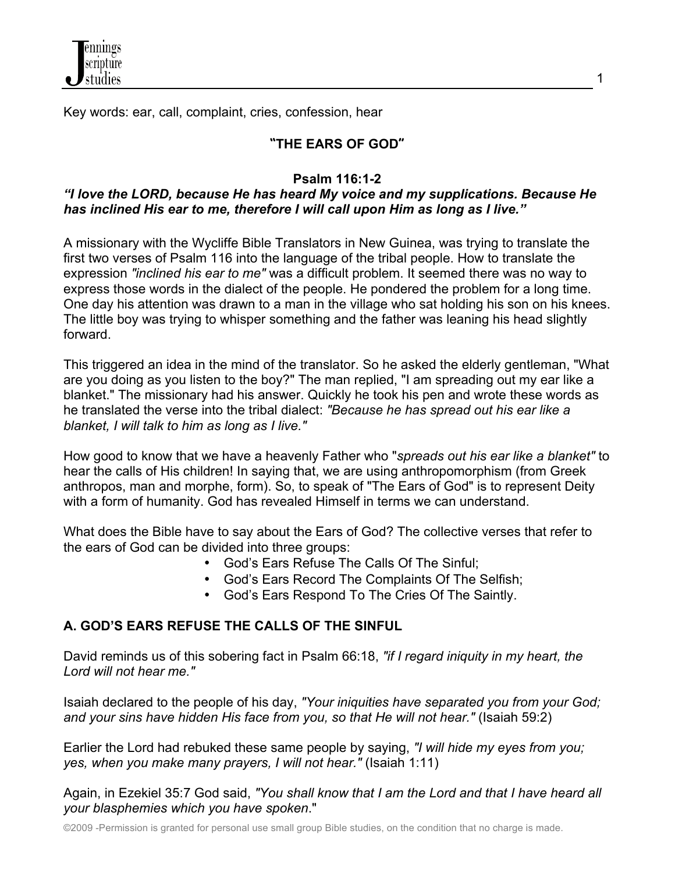

Key words: ear, call, complaint, cries, confession, hear

### **"THE EARS OF GOD"**

#### **Psalm 116:1-2**

#### *"I love the LORD, because He has heard My voice and my supplications. Because He has inclined His ear to me, therefore I will call upon Him as long as I live."*

A missionary with the Wycliffe Bible Translators in New Guinea, was trying to translate the first two verses of Psalm 116 into the language of the tribal people. How to translate the expression *"inclined his ear to me"* was a difficult problem. It seemed there was no way to express those words in the dialect of the people. He pondered the problem for a long time. One day his attention was drawn to a man in the village who sat holding his son on his knees. The little boy was trying to whisper something and the father was leaning his head slightly forward.

This triggered an idea in the mind of the translator. So he asked the elderly gentleman, "What are you doing as you listen to the boy?" The man replied, "I am spreading out my ear like a blanket." The missionary had his answer. Quickly he took his pen and wrote these words as he translated the verse into the tribal dialect: *"Because he has spread out his ear like a blanket, I will talk to him as long as I live."*

How good to know that we have a heavenly Father who "*spreads out his ear like a blanket"* to hear the calls of His children! In saying that, we are using anthropomorphism (from Greek anthropos, man and morphe, form). So, to speak of "The Ears of God" is to represent Deity with a form of humanity. God has revealed Himself in terms we can understand.

What does the Bible have to say about the Ears of God? The collective verses that refer to the ears of God can be divided into three groups:

- God's Ears Refuse The Calls Of The Sinful;
- God's Ears Record The Complaints Of The Selfish;
- God's Ears Respond To The Cries Of The Saintly.

#### **A. GOD'S EARS REFUSE THE CALLS OF THE SINFUL**

David reminds us of this sobering fact in Psalm 66:18, *"if I regard iniquity in my heart, the Lord will not hear me."*

Isaiah declared to the people of his day, *"Your iniquities have separated you from your God; and your sins have hidden His face from you, so that He will not hear."* (Isaiah 59:2)

Earlier the Lord had rebuked these same people by saying, *"I will hide my eyes from you; yes, when you make many prayers, I will not hear."* (Isaiah 1:11)

Again, in Ezekiel 35:7 God said, *"You shall know that I am the Lord and that I have heard all your blasphemies which you have spoken*."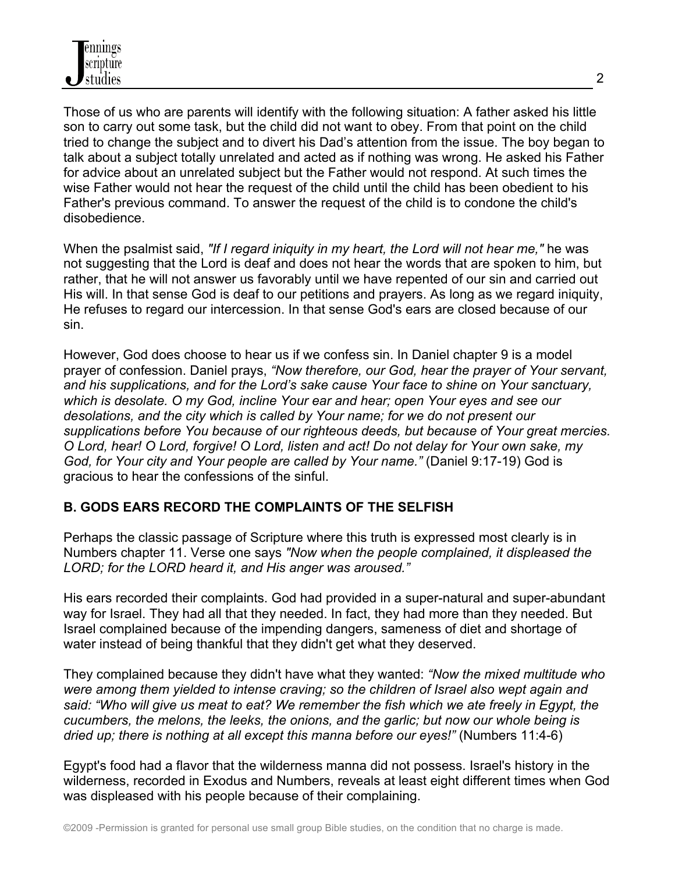Those of us who are parents will identify with the following situation: A father asked his little son to carry out some task, but the child did not want to obey. From that point on the child tried to change the subject and to divert his Dad's attention from the issue. The boy began to talk about a subject totally unrelated and acted as if nothing was wrong. He asked his Father for advice about an unrelated subject but the Father would not respond. At such times the wise Father would not hear the request of the child until the child has been obedient to his Father's previous command. To answer the request of the child is to condone the child's disobedience.

When the psalmist said, *"If I regard iniquity in my heart, the Lord will not hear me,"* he was not suggesting that the Lord is deaf and does not hear the words that are spoken to him, but rather, that he will not answer us favorably until we have repented of our sin and carried out His will. In that sense God is deaf to our petitions and prayers. As long as we regard iniquity, He refuses to regard our intercession. In that sense God's ears are closed because of our sin.

However, God does choose to hear us if we confess sin. In Daniel chapter 9 is a model prayer of confession. Daniel prays, *"Now therefore, our God, hear the prayer of Your servant, and his supplications, and for the Lord's sake cause Your face to shine on Your sanctuary, which is desolate. O my God, incline Your ear and hear; open Your eyes and see our desolations, and the city which is called by Your name; for we do not present our supplications before You because of our righteous deeds, but because of Your great mercies. O Lord, hear! O Lord, forgive! O Lord, listen and act! Do not delay for Your own sake, my God, for Your city and Your people are called by Your name."* (Daniel 9:17-19) God is gracious to hear the confessions of the sinful.

## **B. GODS EARS RECORD THE COMPLAINTS OF THE SELFISH**

Perhaps the classic passage of Scripture where this truth is expressed most clearly is in Numbers chapter 11. Verse one says *"Now when the people complained, it displeased the LORD; for the LORD heard it, and His anger was aroused."*

His ears recorded their complaints. God had provided in a super-natural and super-abundant way for Israel. They had all that they needed. In fact, they had more than they needed. But Israel complained because of the impending dangers, sameness of diet and shortage of water instead of being thankful that they didn't get what they deserved.

They complained because they didn't have what they wanted: *"Now the mixed multitude who were among them yielded to intense craving; so the children of Israel also wept again and said: "Who will give us meat to eat? We remember the fish which we ate freely in Egypt, the cucumbers, the melons, the leeks, the onions, and the garlic; but now our whole being is dried up; there is nothing at all except this manna before our eyes!"* (Numbers 11:4-6)

Egypt's food had a flavor that the wilderness manna did not possess. Israel's history in the wilderness, recorded in Exodus and Numbers, reveals at least eight different times when God was displeased with his people because of their complaining.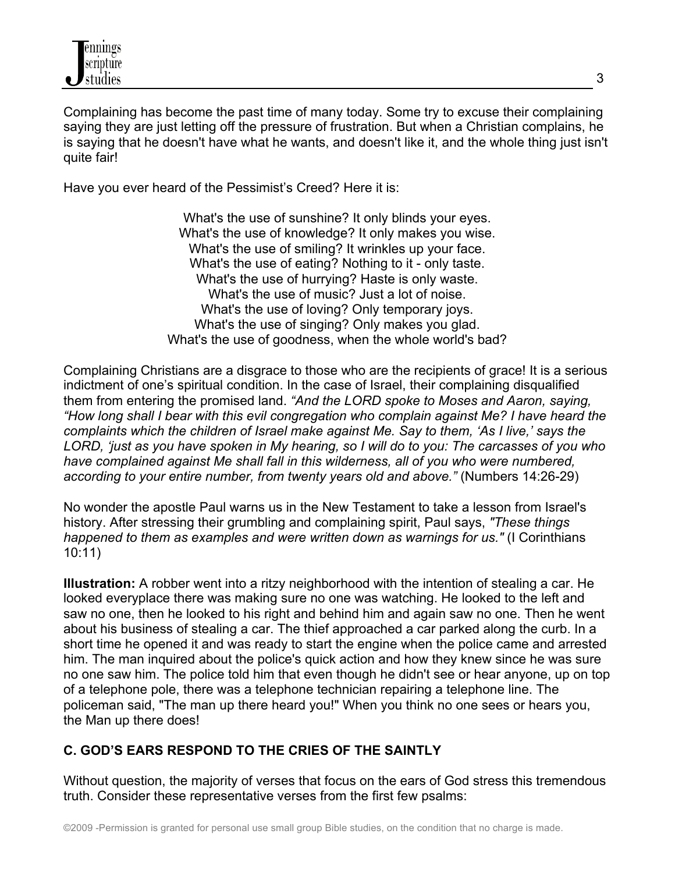Complaining has become the past time of many today. Some try to excuse their complaining saying they are just letting off the pressure of frustration. But when a Christian complains, he is saying that he doesn't have what he wants, and doesn't like it, and the whole thing just isn't quite fair!

Have you ever heard of the Pessimist's Creed? Here it is:

What's the use of sunshine? It only blinds your eyes. What's the use of knowledge? It only makes you wise. What's the use of smiling? It wrinkles up your face. What's the use of eating? Nothing to it - only taste. What's the use of hurrying? Haste is only waste. What's the use of music? Just a lot of noise. What's the use of loving? Only temporary joys. What's the use of singing? Only makes you glad. What's the use of goodness, when the whole world's bad?

Complaining Christians are a disgrace to those who are the recipients of grace! It is a serious indictment of one's spiritual condition. In the case of Israel, their complaining disqualified them from entering the promised land. *"And the LORD spoke to Moses and Aaron, saying, "How long shall I bear with this evil congregation who complain against Me? I have heard the complaints which the children of Israel make against Me. Say to them, 'As I live,' says the LORD, 'just as you have spoken in My hearing, so I will do to you: The carcasses of you who have complained against Me shall fall in this wilderness, all of you who were numbered, according to your entire number, from twenty years old and above."* (Numbers 14:26-29)

No wonder the apostle Paul warns us in the New Testament to take a lesson from Israel's history. After stressing their grumbling and complaining spirit, Paul says, *"These things happened to them as examples and were written down as warnings for us."* (I Corinthians 10:11)

**Illustration:** A robber went into a ritzy neighborhood with the intention of stealing a car. He looked everyplace there was making sure no one was watching. He looked to the left and saw no one, then he looked to his right and behind him and again saw no one. Then he went about his business of stealing a car. The thief approached a car parked along the curb. In a short time he opened it and was ready to start the engine when the police came and arrested him. The man inquired about the police's quick action and how they knew since he was sure no one saw him. The police told him that even though he didn't see or hear anyone, up on top of a telephone pole, there was a telephone technician repairing a telephone line. The policeman said, "The man up there heard you!" When you think no one sees or hears you, the Man up there does!

# **C. GOD'S EARS RESPOND TO THE CRIES OF THE SAINTLY**

Without question, the majority of verses that focus on the ears of God stress this tremendous truth. Consider these representative verses from the first few psalms: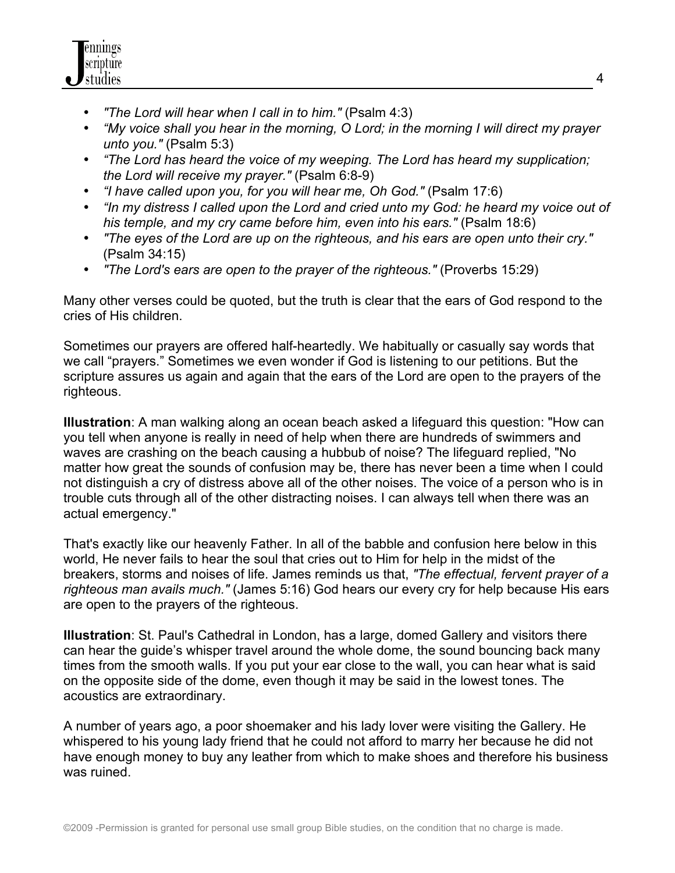

- *"The Lord will hear when I call in to him."* (Psalm 4:3)
- *"My voice shall you hear in the morning, O Lord; in the morning I will direct my prayer unto you."* (Psalm 5:3)
- *"The Lord has heard the voice of my weeping. The Lord has heard my supplication; the Lord will receive my prayer."* (Psalm 6:8-9)
- *"I have called upon you, for you will hear me, Oh God."* (Psalm 17:6)
- *"In my distress I called upon the Lord and cried unto my God: he heard my voice out of his temple, and my cry came before him, even into his ears."* (Psalm 18:6)
- *"The eyes of the Lord are up on the righteous, and his ears are open unto their cry."* (Psalm 34:15)
- *"The Lord's ears are open to the prayer of the righteous."* (Proverbs 15:29)

Many other verses could be quoted, but the truth is clear that the ears of God respond to the cries of His children.

Sometimes our prayers are offered half-heartedly. We habitually or casually say words that we call "prayers." Sometimes we even wonder if God is listening to our petitions. But the scripture assures us again and again that the ears of the Lord are open to the prayers of the righteous.

**Illustration**: A man walking along an ocean beach asked a lifeguard this question: "How can you tell when anyone is really in need of help when there are hundreds of swimmers and waves are crashing on the beach causing a hubbub of noise? The lifeguard replied, "No matter how great the sounds of confusion may be, there has never been a time when I could not distinguish a cry of distress above all of the other noises. The voice of a person who is in trouble cuts through all of the other distracting noises. I can always tell when there was an actual emergency."

That's exactly like our heavenly Father. In all of the babble and confusion here below in this world, He never fails to hear the soul that cries out to Him for help in the midst of the breakers, storms and noises of life. James reminds us that, *"The effectual, fervent prayer of a righteous man avails much."* (James 5:16) God hears our every cry for help because His ears are open to the prayers of the righteous.

**Illustration**: St. Paul's Cathedral in London, has a large, domed Gallery and visitors there can hear the guide's whisper travel around the whole dome, the sound bouncing back many times from the smooth walls. If you put your ear close to the wall, you can hear what is said on the opposite side of the dome, even though it may be said in the lowest tones. The acoustics are extraordinary.

A number of years ago, a poor shoemaker and his lady lover were visiting the Gallery. He whispered to his young lady friend that he could not afford to marry her because he did not have enough money to buy any leather from which to make shoes and therefore his business was ruined.